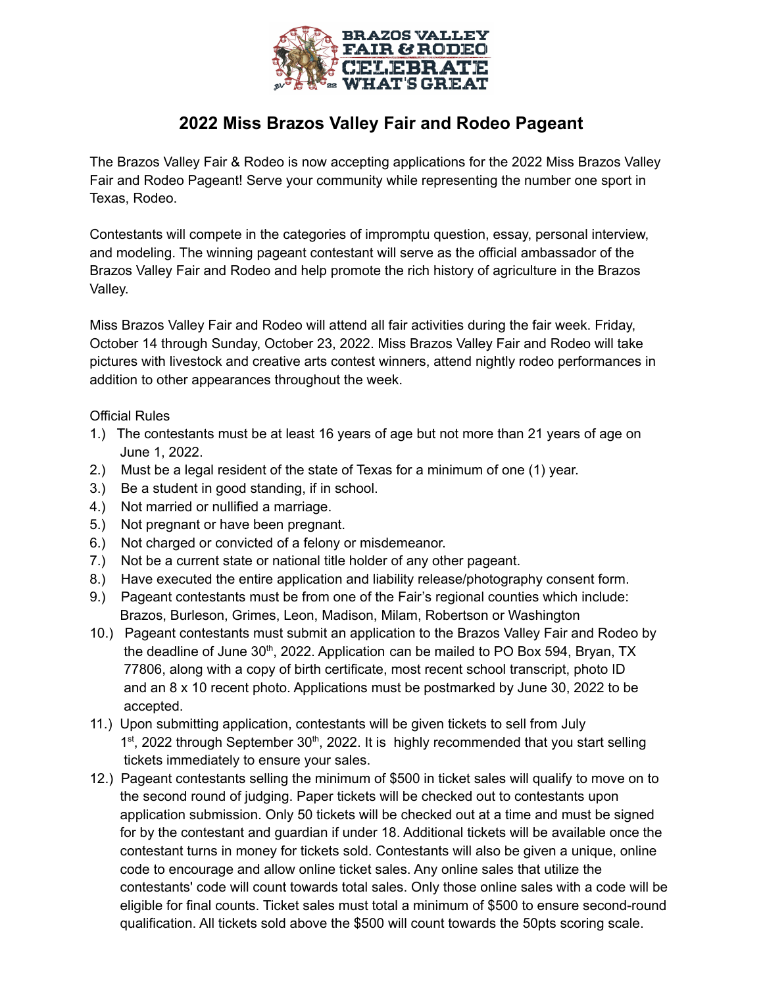

## **2022 Miss Brazos Valley Fair and Rodeo Pageant**

The Brazos Valley Fair & Rodeo is now accepting applications for the 2022 Miss Brazos Valley Fair and Rodeo Pageant! Serve your community while representing the number one sport in Texas, Rodeo.

Contestants will compete in the categories of impromptu question, essay, personal interview, and modeling. The winning pageant contestant will serve as the official ambassador of the Brazos Valley Fair and Rodeo and help promote the rich history of agriculture in the Brazos Valley.

Miss Brazos Valley Fair and Rodeo will attend all fair activities during the fair week. Friday, October 14 through Sunday, October 23, 2022. Miss Brazos Valley Fair and Rodeo will take pictures with livestock and creative arts contest winners, attend nightly rodeo performances in addition to other appearances throughout the week.

## Official Rules

- 1.) The contestants must be at least 16 years of age but not more than 21 years of age on June 1, 2022.
- 2.) Must be a legal resident of the state of Texas for a minimum of one (1) year.
- 3.) Be a student in good standing, if in school.
- 4.) Not married or nullified a marriage.
- 5.) Not pregnant or have been pregnant.
- 6.) Not charged or convicted of a felony or misdemeanor.
- 7.) Not be a current state or national title holder of any other pageant.
- 8.) Have executed the entire application and liability release/photography consent form.
- 9.) Pageant contestants must be from one of the Fair's regional counties which include: Brazos, Burleson, Grimes, Leon, Madison, Milam, Robertson or Washington
- 10.) Pageant contestants must submit an application to the Brazos Valley Fair and Rodeo by the deadline of June 30<sup>th</sup>, 2022. Application can be mailed to PO Box 594, Bryan, TX 77806, along with a copy of birth certificate, most recent school transcript, photo ID and an  $8 \times 10$  recent photo. Applications must be postmarked by June 30, 2022 to be accepted.
- 11.) Upon submitting application, contestants will be given tickets to sell from July 1<sup>st</sup>, 2022 through September 30<sup>th</sup>, 2022. It is highly recommended that you start selling tickets immediately to ensure your sales.
- 12.) Pageant contestants selling the minimum of \$500 in ticket sales will qualify to move on to the second round of judging. Paper tickets will be checked out to contestants upon application submission. Only 50 tickets will be checked out at a time and must be signed for by the contestant and guardian if under 18. Additional tickets will be available once the contestant turns in money for tickets sold. Contestants will also be given a unique, online code to encourage and allow online ticket sales. Any online sales that utilize the contestants' code will count towards total sales. Only those online sales with a code will be eligible for final counts. Ticket sales must total a minimum of \$500 to ensure second-round qualification. All tickets sold above the \$500 will count towards the 50pts scoring scale.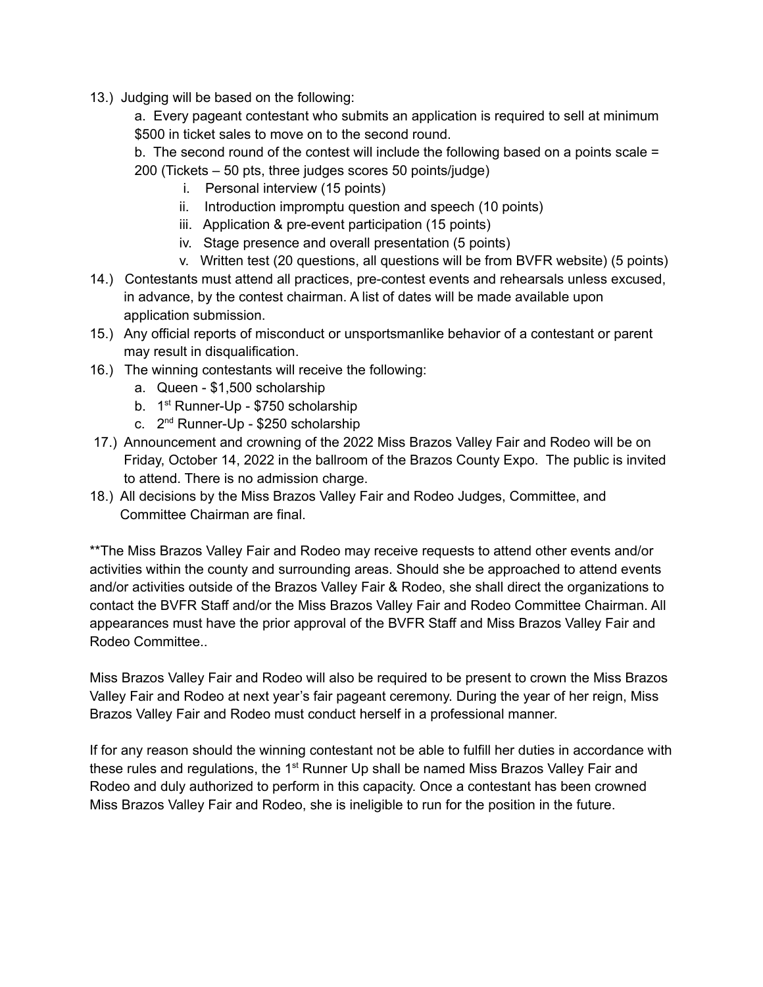- 13.) Judging will be based on the following:
	- a. Every pageant contestant who submits an application is required to sell at minimum \$500 in ticket sales to move on to the second round.
	- b. The second round of the contest will include the following based on a points scale = 200 (Tickets – 50 pts, three judges scores 50 points/judge)
		- i. Personal interview (15 points)
		- ii. Introduction impromptu question and speech (10 points)
		- iii. Application & pre-event participation (15 points)
		- iv. Stage presence and overall presentation (5 points)
		- v. Written test (20 questions, all questions will be from BVFR website) (5 points)
- 14.) Contestants must attend all practices, pre-contest events and rehearsals unless excused, in advance, by the contest chairman. A list of dates will be made available upon application submission.
- 15.) Any official reports of misconduct or unsportsmanlike behavior of a contestant or parent may result in disqualification.
- 16.) The winning contestants will receive the following:
	- a. Queen \$1,500 scholarship
	- b. 1<sup>st</sup> Runner-Up \$750 scholarship
	- c. 2<sup>nd</sup> Runner-Up \$250 scholarship
- 17.) Announcement and crowning of the 2022 Miss Brazos Valley Fair and Rodeo will be on Friday, October 14, 2022 in the ballroom of the Brazos County Expo. The public is invited to attend. There is no admission charge.
- 18.) All decisions by the Miss Brazos Valley Fair and Rodeo Judges, Committee, and Committee Chairman are final.

\*\*The Miss Brazos Valley Fair and Rodeo may receive requests to attend other events and/or activities within the county and surrounding areas. Should she be approached to attend events and/or activities outside of the Brazos Valley Fair & Rodeo, she shall direct the organizations to contact the BVFR Staff and/or the Miss Brazos Valley Fair and Rodeo Committee Chairman. All appearances must have the prior approval of the BVFR Staff and Miss Brazos Valley Fair and Rodeo Committee..

Miss Brazos Valley Fair and Rodeo will also be required to be present to crown the Miss Brazos Valley Fair and Rodeo at next year's fair pageant ceremony. During the year of her reign, Miss Brazos Valley Fair and Rodeo must conduct herself in a professional manner.

If for any reason should the winning contestant not be able to fulfill her duties in accordance with these rules and regulations, the 1<sup>st</sup> Runner Up shall be named Miss Brazos Valley Fair and Rodeo and duly authorized to perform in this capacity. Once a contestant has been crowned Miss Brazos Valley Fair and Rodeo, she is ineligible to run for the position in the future.